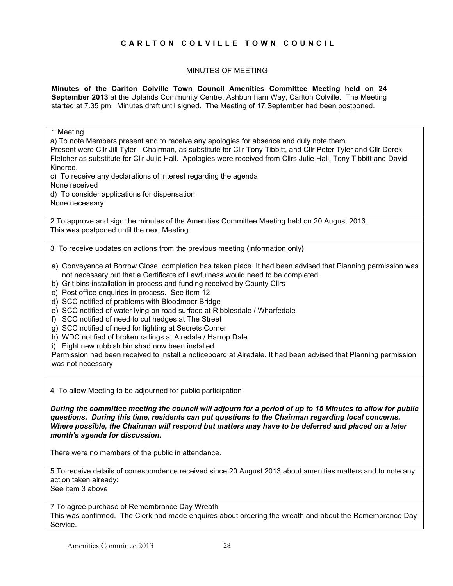## **CARLTON COLVILLE TOWN COUNCIL**

## MINUTES OF MEETING

**Minutes of the Carlton Colville Town Council Amenities Committee Meeting held on 24 September 2013** at the Uplands Community Centre, Ashburnham Way, Carlton Colville. The Meeting started at 7.35 pm. Minutes draft until signed. The Meeting of 17 September had been postponed.

1 Meeting a) To note Members present and to receive any apologies for absence and duly note them. Present were Cllr Jill Tyler - Chairman, as substitute for Cllr Tony Tibbitt, and Cllr Peter Tyler and Cllr Derek Fletcher as substitute for Cllr Julie Hall. Apologies were received from Cllrs Julie Hall, Tony Tibbitt and David Kindred. c) To receive any declarations of interest regarding the agenda None received d) To consider applications for dispensation None necessary 2 To approve and sign the minutes of the Amenities Committee Meeting held on 20 August 2013. This was postponed until the next Meeting. 3 To receive updates on actions from the previous meeting **(**information only**)** a) Conveyance at Borrow Close, completion has taken place. It had been advised that Planning permission was not necessary but that a Certificate of Lawfulness would need to be completed. b) Grit bins installation in process and funding received by County Cllrs c) Post office enquiries in process. See item 12 d) SCC notified of problems with Bloodmoor Bridge e) SCC notified of water lying on road surface at Ribblesdale / Wharfedale f) SCC notified of need to cut hedges at The Street g) SCC notified of need for lighting at Secrets Corner h) WDC notified of broken railings at Airedale / Harrop Dale i) Eight new rubbish bin shad now been installed Permission had been received to install a noticeboard at Airedale. It had been advised that Planning permission was not necessary 4 To allow Meeting to be adjourned for public participation *During the committee meeting the council will adjourn for a period of up to 15 Minutes to allow for public questions. During this time, residents can put questions to the Chairman regarding local concerns. Where possible, the Chairman will respond but matters may have to be deferred and placed on a later month's agenda for discussion.* There were no members of the public in attendance. 5 To receive details of correspondence received since 20 August 2013 about amenities matters and to note any action taken already: See item 3 above

7 To agree purchase of Remembrance Day Wreath This was confirmed. The Clerk had made enquires about ordering the wreath and about the Remembrance Day Service.